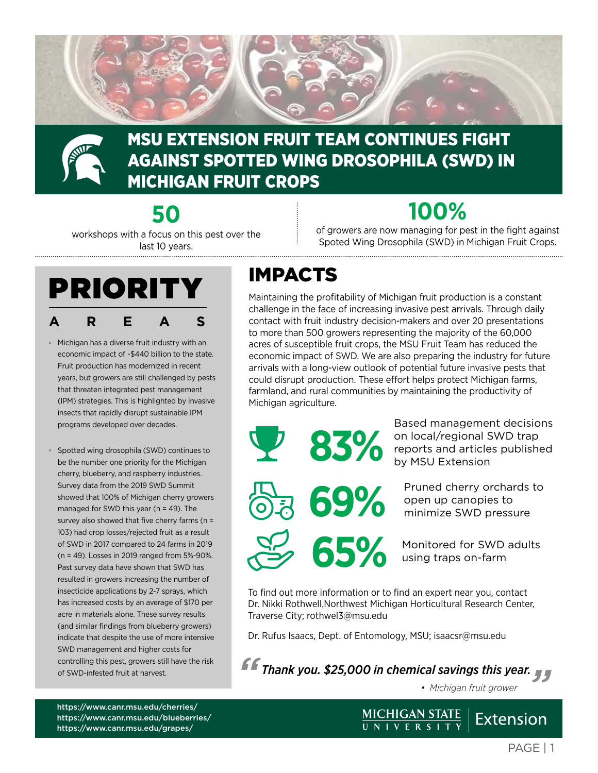



### MSU EXTENSION FRUIT TEAM CONTINUES FIGHT AGAINST SPOTTED WING DROSOPHILA (SWD) IN MICHIGAN FRUIT CROPS

**50**  workshops with a focus on this pest over the last 10 years.

# **100%**

of growers are now managing for pest in the fight against Spoted Wing Drosophila (SWD) in Michigan Fruit Crops.



- Michigan has a diverse fruit industry with an economic impact of ~\$440 billion to the state. Fruit production has modernized in recent years, but growers are still challenged by pests that threaten integrated pest management (IPM) strategies. This is highlighted by invasive insects that rapidly disrupt sustainable IPM programs developed over decades.
- Spotted wing drosophila (SWD) continues to be the number one priority for the Michigan cherry, blueberry, and raspberry industries. Survey data from the 2019 SWD Summit showed that 100% of Michigan cherry growers managed for SWD this year (n = 49). The survey also showed that five cherry farms (n = 103) had crop losses/rejected fruit as a result of SWD in 2017 compared to 24 farms in 2019 (n = 49). Losses in 2019 ranged from 5%-90%. Past survey data have shown that SWD has resulted in growers increasing the number of insecticide applications by 2-7 sprays, which has increased costs by an average of \$170 per acre in materials alone. These survey results (and similar findings from blueberry growers) indicate that despite the use of more intensive SWD management and higher costs for controlling this pest, growers still have the risk of SWD-infested fruit at harvest.

## IMPACTS

Maintaining the profitability of Michigan fruit production is a constant challenge in the face of increasing invasive pest arrivals. Through daily contact with fruit industry decision-makers and over 20 presentations to more than 500 growers representing the majority of the 60,000 acres of susceptible fruit crops, the MSU Fruit Team has reduced the economic impact of SWD. We are also preparing the industry for future arrivals with a long-view outlook of potential future invasive pests that could disrupt production. These effort helps protect Michigan farms, farmland, and rural communities by maintaining the productivity of Michigan agriculture.



Based management decisions on local/regional SWD trap reports and articles published by MSU Extension

**69%** Pruned cherry orchards to<br>
minimize SWD pressure open up canopies to minimize SWD pressure

**650 Monitored for SWD adults** using traps on-farm

To find out more information or to find an expert near you, contact Dr. Nikki Rothwell,Northwest Michigan Horticultural Research Center, Traverse City; [rothwel3@msu.edu](mailto:rothwel3%40msu.edu?subject=)

Dr. Rufus Isaacs, Dept. of Entomology, MSU; [isaacsr@msu.edu](mailto:isaacsr%40msu.edu?subject=)



MICHIGAN STATE<br>UNIVERSITY

*• Michigan fruit grower*

<https://www.canr.msu.edu/cherries/> <https://www.canr.msu.edu/blueberries/> <https://www.canr.msu.edu/grapes/>

Extension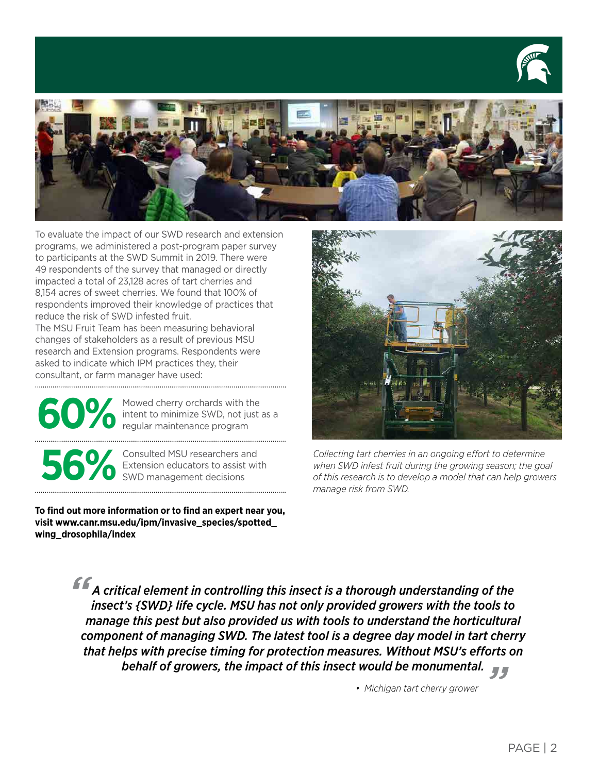



To evaluate the impact of our SWD research and extension programs, we administered a post-program paper survey to participants at the SWD Summit in 2019. There were 49 respondents of the survey that managed or directly impacted a total of 23,128 acres of tart cherries and 8,154 acres of sweet cherries. We found that 100% of respondents improved their knowledge of practices that reduce the risk of SWD infested fruit.

The MSU Fruit Team has been measuring behavioral changes of stakeholders as a result of previous MSU research and Extension programs. Respondents were asked to indicate which IPM practices they, their consultant, or farm manager have used:

Mowed cherry orchards with the<br>intent to minimize SWD, not just as a<br>regular maintenance program intent to minimize SWD, not just as a regular maintenance program

**56%**Consulted MSU researchers and Extension educators to assist with SWD management decisions Extension educators to assist with

**To find out more information or to find an expert near you, visit [www.canr.msu.edu/ipm/invasive\\_species/spotted\\_](http://www.canr.msu.edu/ipm/invasive_species/spotted_wing_drosophila/index) [wing\\_drosophila/index](http://www.canr.msu.edu/ipm/invasive_species/spotted_wing_drosophila/index)** 



*Collecting tart cherries in an ongoing effort to determine when SWD infest fruit during the growing season; the goal of this research is to develop a model that can help growers manage risk from SWD.*

*" " behalf of growers, the impact of this insect would be monumental. A critical element in controlling this insect is a thorough understanding of the insect's {SWD} life cycle. MSU has not only provided growers with the tools to manage this pest but also provided us with tools to understand the horticultural component of managing SWD. The latest tool is a degree day model in tart cherry that helps with precise timing for protection measures. Without MSU's efforts on* 

*• Michigan tart cherry grower*